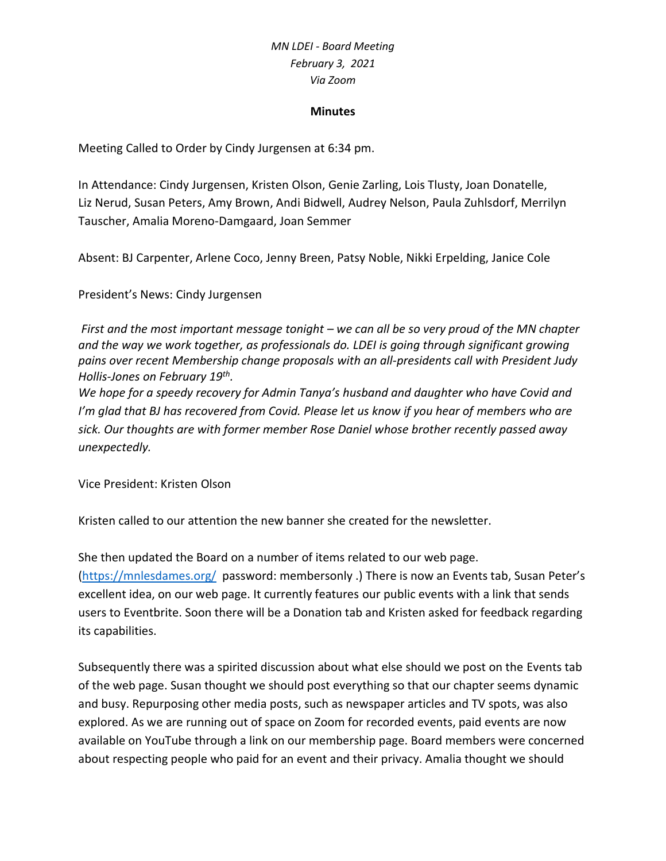#### **Minutes**

Meeting Called to Order by Cindy Jurgensen at 6:34 pm.

In Attendance: Cindy Jurgensen, Kristen Olson, Genie Zarling, Lois Tlusty, Joan Donatelle, Liz Nerud, Susan Peters, Amy Brown, Andi Bidwell, Audrey Nelson, Paula Zuhlsdorf, Merrilyn Tauscher, Amalia Moreno-Damgaard, Joan Semmer

Absent: BJ Carpenter, Arlene Coco, Jenny Breen, Patsy Noble, Nikki Erpelding, Janice Cole

President's News: Cindy Jurgensen

*First and the most important message tonight – we can all be so very proud of the MN chapter and the way we work together, as professionals do. LDEI is going through significant growing pains over recent Membership change proposals with an all-presidents call with President Judy Hollis-Jones on February 19th .* 

*We hope for a speedy recovery for Admin Tanya's husband and daughter who have Covid and I'm glad that BJ has recovered from Covid. Please let us know if you hear of members who are sick. Our thoughts are with former member Rose Daniel whose brother recently passed away unexpectedly.*

Vice President: Kristen Olson

Kristen called to our attention the new banner she created for the newsletter.

She then updated the Board on a number of items related to our web page. [\(https://mnlesdames.org/](https://mnlesdames.org/) password: membersonly .) There is now an Events tab, Susan Peter's excellent idea, on our web page. It currently features our public events with a link that sends users to Eventbrite. Soon there will be a Donation tab and Kristen asked for feedback regarding its capabilities.

Subsequently there was a spirited discussion about what else should we post on the Events tab of the web page. Susan thought we should post everything so that our chapter seems dynamic and busy. Repurposing other media posts, such as newspaper articles and TV spots, was also explored. As we are running out of space on Zoom for recorded events, paid events are now available on YouTube through a link on our membership page. Board members were concerned about respecting people who paid for an event and their privacy. Amalia thought we should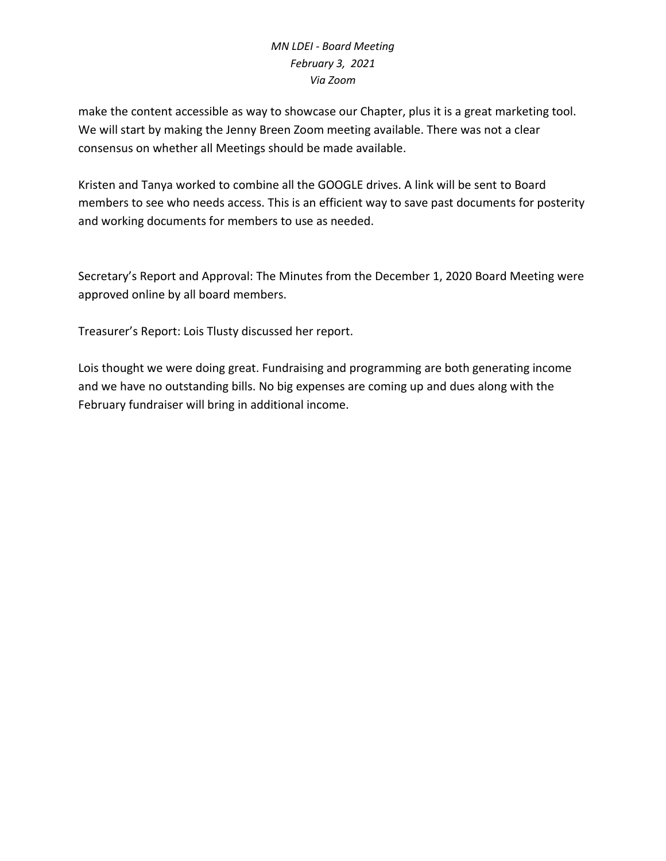make the content accessible as way to showcase our Chapter, plus it is a great marketing tool. We will start by making the Jenny Breen Zoom meeting available. There was not a clear consensus on whether all Meetings should be made available.

Kristen and Tanya worked to combine all the GOOGLE drives. A link will be sent to Board members to see who needs access. This is an efficient way to save past documents for posterity and working documents for members to use as needed.

Secretary's Report and Approval: The Minutes from the December 1, 2020 Board Meeting were approved online by all board members.

Treasurer's Report: Lois Tlusty discussed her report.

Lois thought we were doing great. Fundraising and programming are both generating income and we have no outstanding bills. No big expenses are coming up and dues along with the February fundraiser will bring in additional income.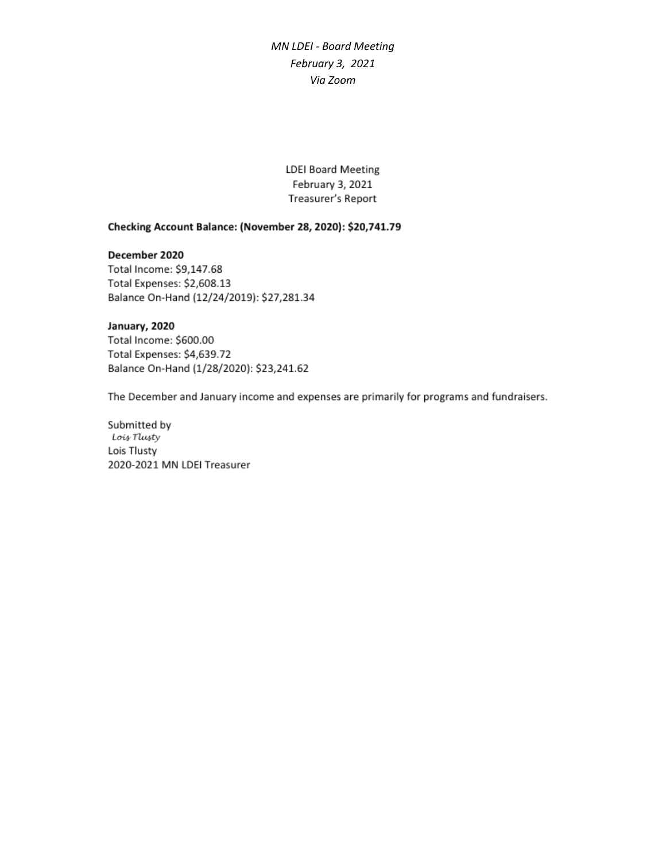**LDEI Board Meeting** February 3, 2021 Treasurer's Report

#### Checking Account Balance: (November 28, 2020): \$20,741.79

#### December 2020

Total Income: \$9,147.68 Total Expenses: \$2,608.13 Balance On-Hand (12/24/2019): \$27,281.34

#### January, 2020

Total Income: \$600.00 Total Expenses: \$4,639.72 Balance On-Hand (1/28/2020): \$23,241.62

The December and January income and expenses are primarily for programs and fundraisers.

Submitted by Lois Tlusty Lois Tlusty 2020-2021 MN LDEI Treasurer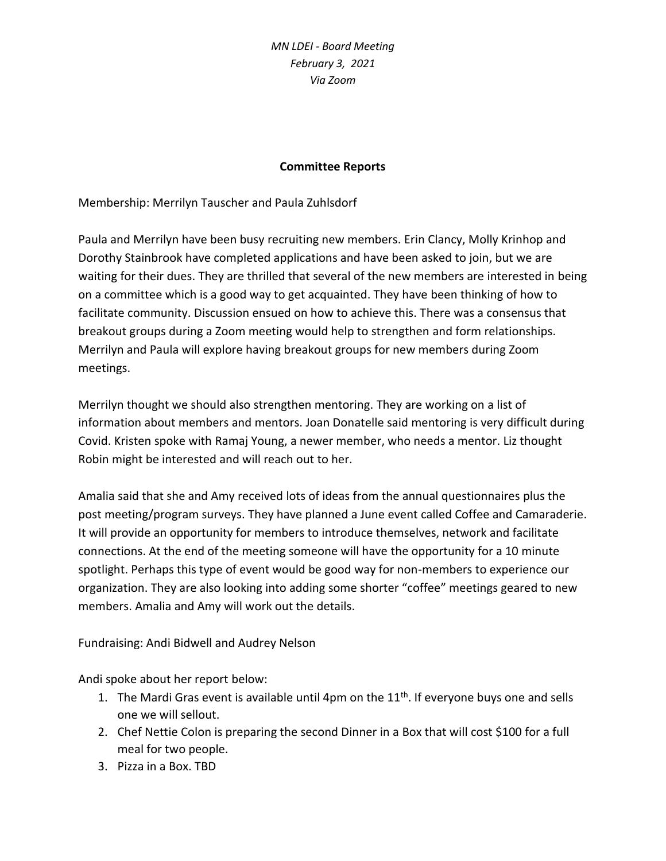### **Committee Reports**

Membership: Merrilyn Tauscher and Paula Zuhlsdorf

Paula and Merrilyn have been busy recruiting new members. Erin Clancy, Molly Krinhop and Dorothy Stainbrook have completed applications and have been asked to join, but we are waiting for their dues. They are thrilled that several of the new members are interested in being on a committee which is a good way to get acquainted. They have been thinking of how to facilitate community. Discussion ensued on how to achieve this. There was a consensus that breakout groups during a Zoom meeting would help to strengthen and form relationships. Merrilyn and Paula will explore having breakout groups for new members during Zoom meetings.

Merrilyn thought we should also strengthen mentoring. They are working on a list of information about members and mentors. Joan Donatelle said mentoring is very difficult during Covid. Kristen spoke with Ramaj Young, a newer member, who needs a mentor. Liz thought Robin might be interested and will reach out to her.

Amalia said that she and Amy received lots of ideas from the annual questionnaires plus the post meeting/program surveys. They have planned a June event called Coffee and Camaraderie. It will provide an opportunity for members to introduce themselves, network and facilitate connections. At the end of the meeting someone will have the opportunity for a 10 minute spotlight. Perhaps this type of event would be good way for non-members to experience our organization. They are also looking into adding some shorter "coffee" meetings geared to new members. Amalia and Amy will work out the details.

Fundraising: Andi Bidwell and Audrey Nelson

Andi spoke about her report below:

- 1. The Mardi Gras event is available until 4pm on the  $11<sup>th</sup>$ . If everyone buys one and sells one we will sellout.
- 2. Chef Nettie Colon is preparing the second Dinner in a Box that will cost \$100 for a full meal for two people.
- 3. Pizza in a Box. TBD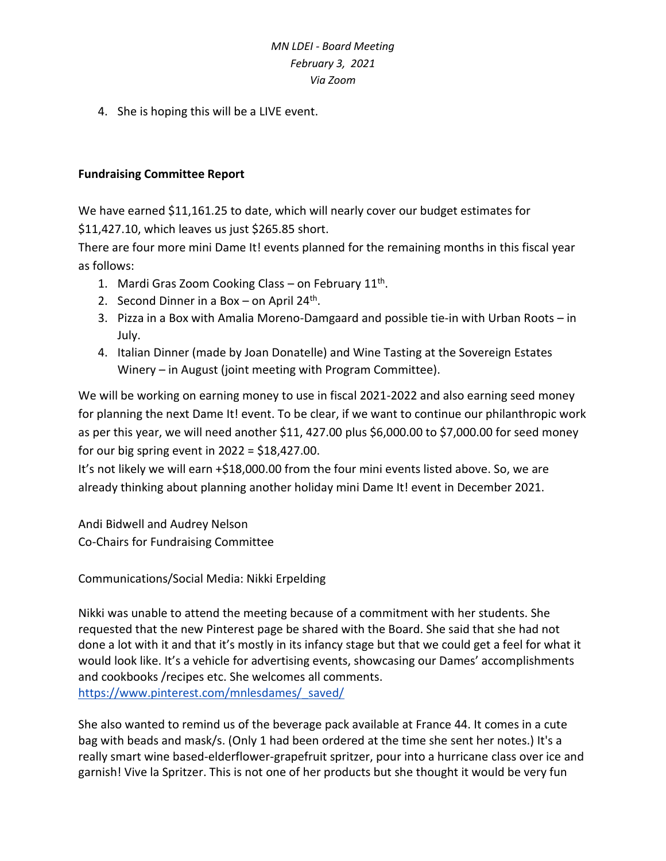4. She is hoping this will be a LIVE event.

#### **Fundraising Committee Report**

We have earned \$11,161.25 to date, which will nearly cover our budget estimates for \$11,427.10, which leaves us just \$265.85 short.

There are four more mini Dame It! events planned for the remaining months in this fiscal year as follows:

- 1. Mardi Gras Zoom Cooking Class on February 11<sup>th</sup>.
- 2. Second Dinner in a Box  $-$  on April 24<sup>th</sup>.
- 3. Pizza in a Box with Amalia Moreno-Damgaard and possible tie-in with Urban Roots in July.
- 4. Italian Dinner (made by Joan Donatelle) and Wine Tasting at the Sovereign Estates Winery – in August (joint meeting with Program Committee).

We will be working on earning money to use in fiscal 2021-2022 and also earning seed money for planning the next Dame It! event. To be clear, if we want to continue our philanthropic work as per this year, we will need another \$11, 427.00 plus \$6,000.00 to \$7,000.00 for seed money for our big spring event in  $2022 = $18,427.00$ .

It's not likely we will earn +\$18,000.00 from the four mini events listed above. So, we are already thinking about planning another holiday mini Dame It! event in December 2021.

Andi Bidwell and Audrey Nelson Co-Chairs for Fundraising Committee

Communications/Social Media: Nikki Erpelding

Nikki was unable to attend the meeting because of a commitment with her students. She requested that the new Pinterest page be shared with the Board. She said that she had not done a lot with it and that it's mostly in its infancy stage but that we could get a feel for what it would look like. It's a vehicle for advertising events, showcasing our Dames' accomplishments and cookbooks /recipes etc. She welcomes all comments. [https://www.pinterest.com/mnlesdames/\\_saved/](https://www.pinterest.com/mnlesdames/_saved/)

She also wanted to remind us of the beverage pack available at France 44. It comes in a cute bag with beads and mask/s. (Only 1 had been ordered at the time she sent her notes.) It's a really smart wine based-elderflower-grapefruit spritzer, pour into a hurricane class over ice and garnish! Vive la Spritzer. This is not one of her products but she thought it would be very fun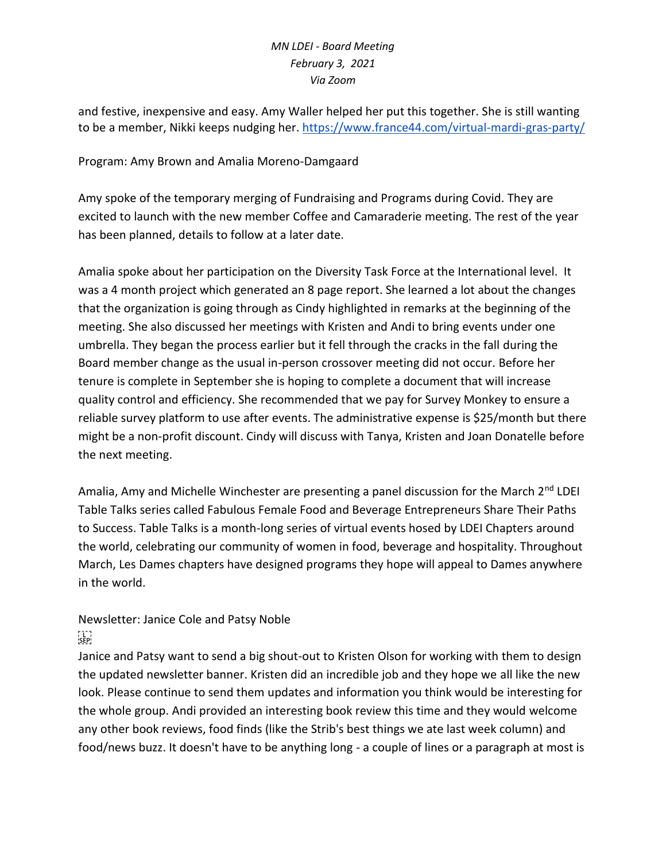and festive, inexpensive and easy. Amy Waller helped her put this together. She is still wanting to be a member, Nikki keeps nudging her. <https://www.france44.com/virtual-mardi-gras-party/>

### Program: Amy Brown and Amalia Moreno-Damgaard

Amy spoke of the temporary merging of Fundraising and Programs during Covid. They are excited to launch with the new member Coffee and Camaraderie meeting. The rest of the year has been planned, details to follow at a later date.

Amalia spoke about her participation on the Diversity Task Force at the International level. It was a 4 month project which generated an 8 page report. She learned a lot about the changes that the organization is going through as Cindy highlighted in remarks at the beginning of the meeting. She also discussed her meetings with Kristen and Andi to bring events under one umbrella. They began the process earlier but it fell through the cracks in the fall during the Board member change as the usual in-person crossover meeting did not occur. Before her tenure is complete in September she is hoping to complete a document that will increase quality control and efficiency. She recommended that we pay for Survey Monkey to ensure a reliable survey platform to use after events. The administrative expense is \$25/month but there might be a non-profit discount. Cindy will discuss with Tanya, Kristen and Joan Donatelle before the next meeting.

Amalia, Amy and Michelle Winchester are presenting a panel discussion for the March 2<sup>nd</sup> LDEI Table Talks series called Fabulous Female Food and Beverage Entrepreneurs Share Their Paths to Success. Table Talks is a month-long series of virtual events hosed by LDEI Chapters around the world, celebrating our community of women in food, beverage and hospitality. Throughout March, Les Dames chapters have designed programs they hope will appeal to Dames anywhere in the world.

# Newsletter: Janice Cole and Patsy Noble  $\sum_{i \in \mathbf{P}^1}$

Janice and Patsy want to send a big shout-out to Kristen Olson for working with them to design the updated newsletter banner. Kristen did an incredible job and they hope we all like the new look. Please continue to send them updates and information you think would be interesting for the whole group. Andi provided an interesting book review this time and they would welcome any other book reviews, food finds (like the Strib's best things we ate last week column) and food/news buzz. It doesn't have to be anything long - a couple of lines or a paragraph at most is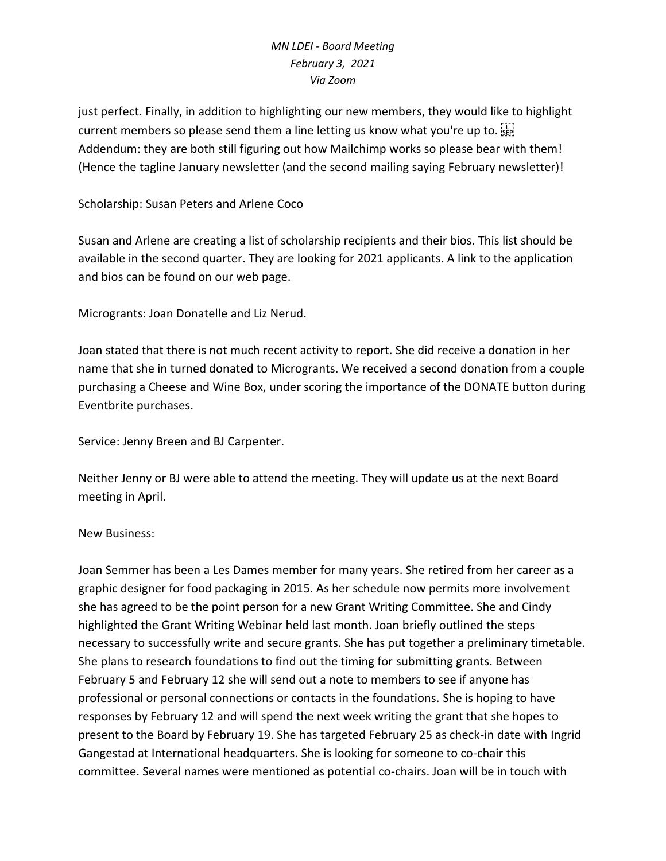just perfect. Finally, in addition to highlighting our new members, they would like to highlight current members so please send them a line letting us know what you're up to.  $\frac{1}{15}$ Addendum: they are both still figuring out how Mailchimp works so please bear with them! (Hence the tagline January newsletter (and the second mailing saying February newsletter)!

### Scholarship: Susan Peters and Arlene Coco

Susan and Arlene are creating a list of scholarship recipients and their bios. This list should be available in the second quarter. They are looking for 2021 applicants. A link to the application and bios can be found on our web page.

Microgrants: Joan Donatelle and Liz Nerud.

Joan stated that there is not much recent activity to report. She did receive a donation in her name that she in turned donated to Microgrants. We received a second donation from a couple purchasing a Cheese and Wine Box, under scoring the importance of the DONATE button during Eventbrite purchases.

Service: Jenny Breen and BJ Carpenter.

Neither Jenny or BJ were able to attend the meeting. They will update us at the next Board meeting in April.

#### New Business:

Joan Semmer has been a Les Dames member for many years. She retired from her career as a graphic designer for food packaging in 2015. As her schedule now permits more involvement she has agreed to be the point person for a new Grant Writing Committee. She and Cindy highlighted the Grant Writing Webinar held last month. Joan briefly outlined the steps necessary to successfully write and secure grants. She has put together a preliminary timetable. She plans to research foundations to find out the timing for submitting grants. Between February 5 and February 12 she will send out a note to members to see if anyone has professional or personal connections or contacts in the foundations. She is hoping to have responses by February 12 and will spend the next week writing the grant that she hopes to present to the Board by February 19. She has targeted February 25 as check-in date with Ingrid Gangestad at International headquarters. She is looking for someone to co-chair this committee. Several names were mentioned as potential co-chairs. Joan will be in touch with